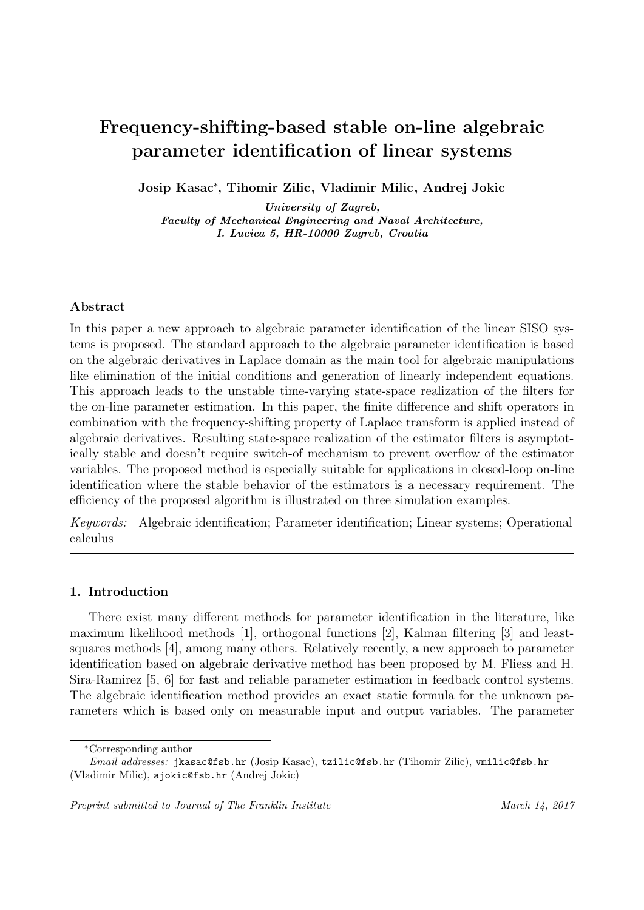# Frequency-shifting-based stable on-line algebraic parameter identification of linear systems

Josip Kasac<sup>∗</sup> , Tihomir Zilic, Vladimir Milic, Andrej Jokic

University of Zagreb, Faculty of Mechanical Engineering and Naval Architecture, I. Lucica 5, HR-10000 Zagreb, Croatia

# Abstract

In this paper a new approach to algebraic parameter identification of the linear SISO systems is proposed. The standard approach to the algebraic parameter identification is based on the algebraic derivatives in Laplace domain as the main tool for algebraic manipulations like elimination of the initial conditions and generation of linearly independent equations. This approach leads to the unstable time-varying state-space realization of the filters for the on-line parameter estimation. In this paper, the finite difference and shift operators in combination with the frequency-shifting property of Laplace transform is applied instead of algebraic derivatives. Resulting state-space realization of the estimator filters is asymptotically stable and doesn't require switch-of mechanism to prevent overflow of the estimator variables. The proposed method is especially suitable for applications in closed-loop on-line identification where the stable behavior of the estimators is a necessary requirement. The efficiency of the proposed algorithm is illustrated on three simulation examples.

Keywords: Algebraic identification; Parameter identification; Linear systems; Operational calculus

# 1. Introduction

There exist many different methods for parameter identification in the literature, like maximum likelihood methods [1], orthogonal functions [2], Kalman filtering [3] and leastsquares methods [4], among many others. Relatively recently, a new approach to parameter identification based on algebraic derivative method has been proposed by M. Fliess and H. Sira-Ramirez [5, 6] for fast and reliable parameter estimation in feedback control systems. The algebraic identification method provides an exact static formula for the unknown parameters which is based only on measurable input and output variables. The parameter

<sup>∗</sup>Corresponding author

Email addresses: jkasac@fsb.hr (Josip Kasac), tzilic@fsb.hr (Tihomir Zilic), vmilic@fsb.hr (Vladimir Milic), ajokic@fsb.hr (Andrej Jokic)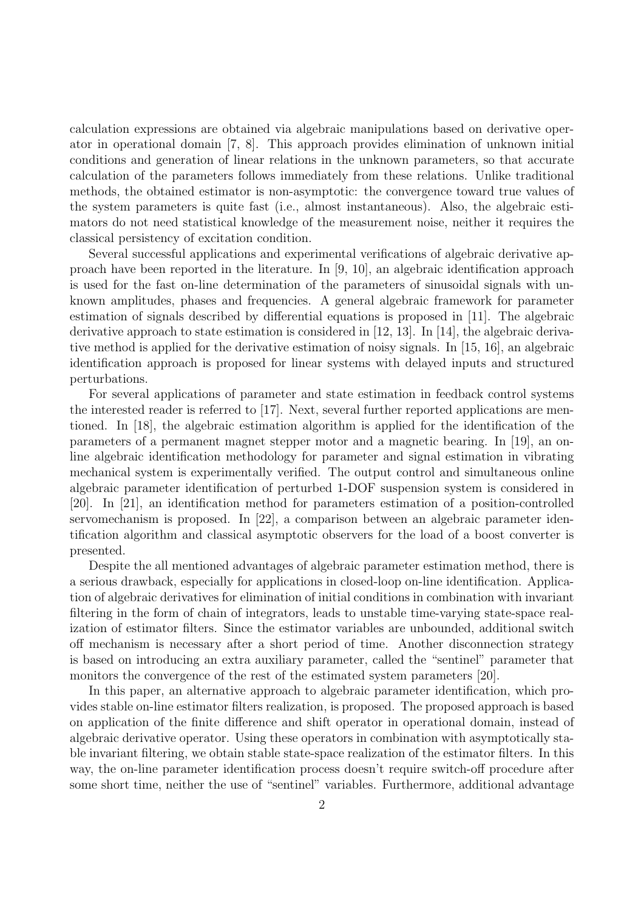calculation expressions are obtained via algebraic manipulations based on derivative operator in operational domain [7, 8]. This approach provides elimination of unknown initial conditions and generation of linear relations in the unknown parameters, so that accurate calculation of the parameters follows immediately from these relations. Unlike traditional methods, the obtained estimator is non-asymptotic: the convergence toward true values of the system parameters is quite fast (i.e., almost instantaneous). Also, the algebraic estimators do not need statistical knowledge of the measurement noise, neither it requires the classical persistency of excitation condition.

Several successful applications and experimental verifications of algebraic derivative approach have been reported in the literature. In [9, 10], an algebraic identification approach is used for the fast on-line determination of the parameters of sinusoidal signals with unknown amplitudes, phases and frequencies. A general algebraic framework for parameter estimation of signals described by differential equations is proposed in [11]. The algebraic derivative approach to state estimation is considered in [12, 13]. In [14], the algebraic derivative method is applied for the derivative estimation of noisy signals. In [15, 16], an algebraic identification approach is proposed for linear systems with delayed inputs and structured perturbations.

For several applications of parameter and state estimation in feedback control systems the interested reader is referred to [17]. Next, several further reported applications are mentioned. In [18], the algebraic estimation algorithm is applied for the identification of the parameters of a permanent magnet stepper motor and a magnetic bearing. In [19], an online algebraic identification methodology for parameter and signal estimation in vibrating mechanical system is experimentally verified. The output control and simultaneous online algebraic parameter identification of perturbed 1-DOF suspension system is considered in [20]. In [21], an identification method for parameters estimation of a position-controlled servomechanism is proposed. In [22], a comparison between an algebraic parameter identification algorithm and classical asymptotic observers for the load of a boost converter is presented.

Despite the all mentioned advantages of algebraic parameter estimation method, there is a serious drawback, especially for applications in closed-loop on-line identification. Application of algebraic derivatives for elimination of initial conditions in combination with invariant filtering in the form of chain of integrators, leads to unstable time-varying state-space realization of estimator filters. Since the estimator variables are unbounded, additional switch off mechanism is necessary after a short period of time. Another disconnection strategy is based on introducing an extra auxiliary parameter, called the "sentinel" parameter that monitors the convergence of the rest of the estimated system parameters [20].

In this paper, an alternative approach to algebraic parameter identification, which provides stable on-line estimator filters realization, is proposed. The proposed approach is based on application of the finite difference and shift operator in operational domain, instead of algebraic derivative operator. Using these operators in combination with asymptotically stable invariant filtering, we obtain stable state-space realization of the estimator filters. In this way, the on-line parameter identification process doesn't require switch-off procedure after some short time, neither the use of "sentinel" variables. Furthermore, additional advantage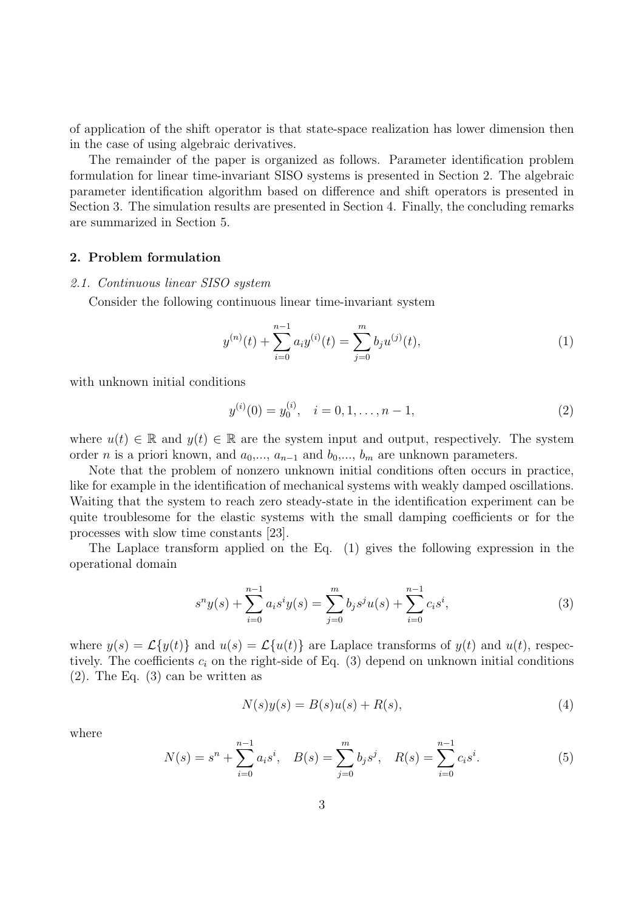of application of the shift operator is that state-space realization has lower dimension then in the case of using algebraic derivatives.

The remainder of the paper is organized as follows. Parameter identification problem formulation for linear time-invariant SISO systems is presented in Section 2. The algebraic parameter identification algorithm based on difference and shift operators is presented in Section 3. The simulation results are presented in Section 4. Finally, the concluding remarks are summarized in Section 5.

# 2. Problem formulation

## 2.1. Continuous linear SISO system

Consider the following continuous linear time-invariant system

$$
y^{(n)}(t) + \sum_{i=0}^{n-1} a_i y^{(i)}(t) = \sum_{j=0}^{m} b_j u^{(j)}(t),
$$
\n(1)

with unknown initial conditions

$$
y^{(i)}(0) = y_0^{(i)}, \quad i = 0, 1, \dots, n - 1,
$$
\n(2)

where  $u(t) \in \mathbb{R}$  and  $y(t) \in \mathbb{R}$  are the system input and output, respectively. The system order *n* is a priori known, and  $a_0, ..., a_{n-1}$  and  $b_0, ..., b_m$  are unknown parameters.

Note that the problem of nonzero unknown initial conditions often occurs in practice, like for example in the identification of mechanical systems with weakly damped oscillations. Waiting that the system to reach zero steady-state in the identification experiment can be quite troublesome for the elastic systems with the small damping coefficients or for the processes with slow time constants [23].

The Laplace transform applied on the Eq. (1) gives the following expression in the operational domain

$$
s^n y(s) + \sum_{i=0}^{n-1} a_i s^i y(s) = \sum_{j=0}^{m} b_j s^j u(s) + \sum_{i=0}^{n-1} c_i s^i,
$$
\n(3)

where  $y(s) = \mathcal{L}{y(t)}$  and  $u(s) = \mathcal{L}{u(t)}$  are Laplace transforms of  $y(t)$  and  $u(t)$ , respectively. The coefficients  $c_i$  on the right-side of Eq. (3) depend on unknown initial conditions (2). The Eq. (3) can be written as

$$
N(s)y(s) = B(s)u(s) + R(s),
$$
\n<sup>(4)</sup>

where

$$
N(s) = sn + \sum_{i=0}^{n-1} a_i s^i, \quad B(s) = \sum_{j=0}^{m} b_j s^j, \quad R(s) = \sum_{i=0}^{n-1} c_i s^i.
$$
 (5)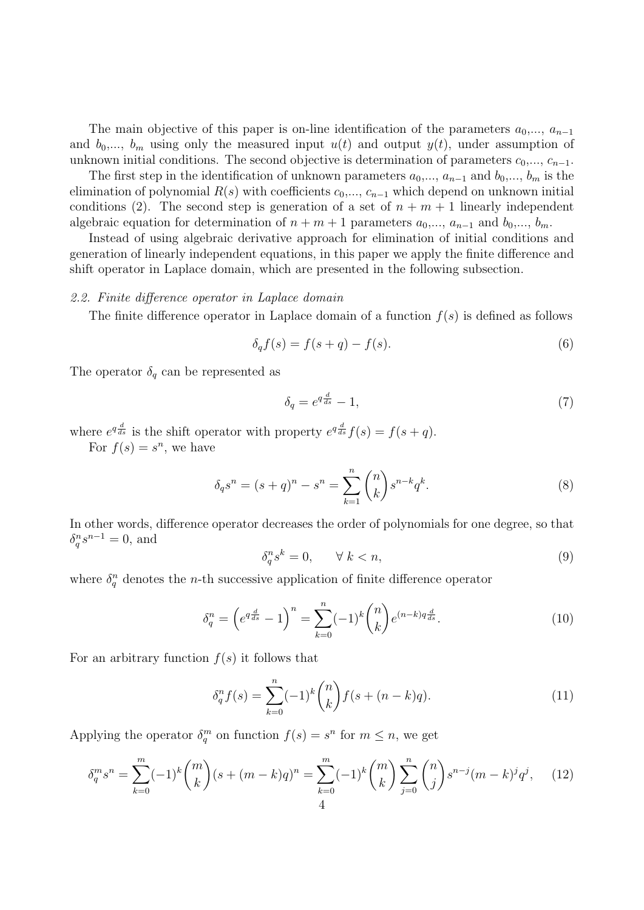The main objective of this paper is on-line identification of the parameters  $a_0, ..., a_{n-1}$ and  $b_0, \ldots, b_m$  using only the measured input  $u(t)$  and output  $y(t)$ , under assumption of unknown initial conditions. The second objective is determination of parameters  $c_0, ..., c_{n-1}$ .

The first step in the identification of unknown parameters  $a_0, ..., a_{n-1}$  and  $b_0, ..., b_m$  is the elimination of polynomial  $R(s)$  with coefficients  $c_0, ..., c_{n-1}$  which depend on unknown initial conditions (2). The second step is generation of a set of  $n + m + 1$  linearly independent algebraic equation for determination of  $n + m + 1$  parameters  $a_0, \ldots, a_{n-1}$  and  $b_0, \ldots, b_m$ .

Instead of using algebraic derivative approach for elimination of initial conditions and generation of linearly independent equations, in this paper we apply the finite difference and shift operator in Laplace domain, which are presented in the following subsection.

## 2.2. Finite difference operator in Laplace domain

The finite difference operator in Laplace domain of a function  $f(s)$  is defined as follows

$$
\delta_q f(s) = f(s+q) - f(s). \tag{6}
$$

The operator  $\delta_q$  can be represented as

$$
\delta_q = e^{q\frac{d}{ds}} - 1,\tag{7}
$$

where  $e^{q\frac{d}{ds}}$  is the shift operator with property  $e^{q\frac{d}{ds}}f(s) = f(s+q)$ .

For  $f(s) = s^n$ , we have

$$
\delta_q s^n = (s+q)^n - s^n = \sum_{k=1}^n \binom{n}{k} s^{n-k} q^k.
$$
 (8)

In other words, difference operator decreases the order of polynomials for one degree, so that  $\delta_q^n s^{n-1} = 0$ , and

$$
\delta_q^n s^k = 0, \qquad \forall \ k < n,\tag{9}
$$

where  $\delta_q^n$  denotes the *n*-th successive application of finite difference operator

$$
\delta_q^n = \left(e^{q\frac{d}{ds}} - 1\right)^n = \sum_{k=0}^n (-1)^k \binom{n}{k} e^{(n-k)q\frac{d}{ds}}.
$$
\n(10)

For an arbitrary function  $f(s)$  it follows that

$$
\delta_q^n f(s) = \sum_{k=0}^n (-1)^k \binom{n}{k} f(s + (n-k)q). \tag{11}
$$

Applying the operator  $\delta_q^m$  on function  $f(s) = s^n$  for  $m \leq n$ , we get

$$
\delta_q^m s^n = \sum_{k=0}^m (-1)^k \binom{m}{k} (s + (m-k)q)^n = \sum_{k=0}^m (-1)^k \binom{m}{k} \sum_{j=0}^n \binom{n}{j} s^{n-j} (m-k)^j q^j, \tag{12}
$$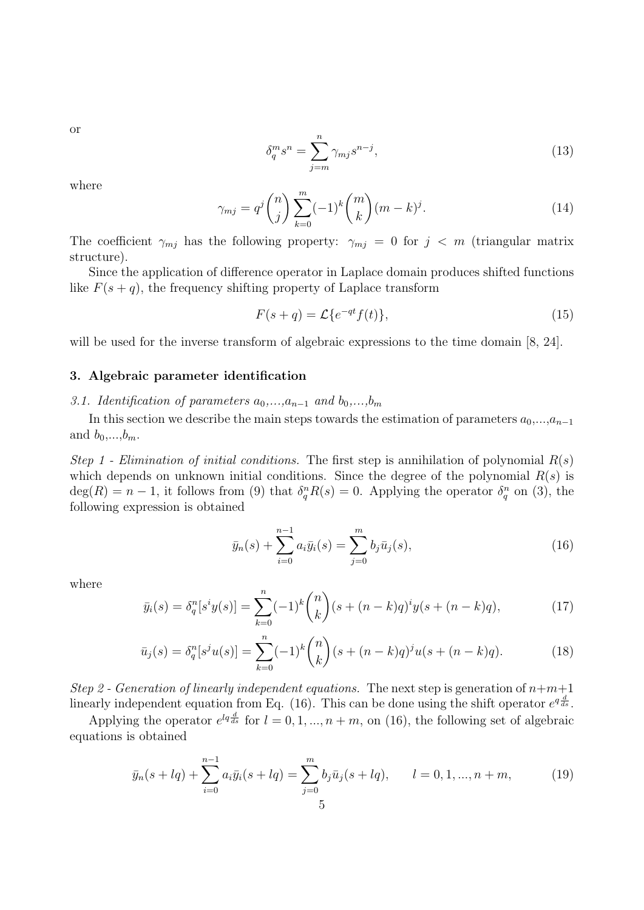or

$$
\delta_q^m s^n = \sum_{j=m}^n \gamma_{mj} s^{n-j},\tag{13}
$$

where

$$
\gamma_{mj} = q^j \binom{n}{j} \sum_{k=0}^m (-1)^k \binom{m}{k} (m-k)^j.
$$
 (14)

The coefficient  $\gamma_{mj}$  has the following property:  $\gamma_{mj} = 0$  for  $j < m$  (triangular matrix structure).

Since the application of difference operator in Laplace domain produces shifted functions like  $F(s + q)$ , the frequency shifting property of Laplace transform

$$
F(s+q) = \mathcal{L}\lbrace e^{-qt} f(t) \rbrace,
$$
\n(15)

will be used for the inverse transform of algebraic expressions to the time domain [8, 24].

# 3. Algebraic parameter identification

3.1. Identification of parameters  $a_0,...,a_{n-1}$  and  $b_0,...,b_m$ 

In this section we describe the main steps towards the estimation of parameters  $a_0, ..., a_{n-1}$ and  $b_0, \ldots, b_m$ .

Step 1 - Elimination of initial conditions. The first step is annihilation of polynomial  $R(s)$ which depends on unknown initial conditions. Since the degree of the polynomial  $R(s)$  is  $deg(R) = n - 1$ , it follows from (9) that  $\delta_q^n R(s) = 0$ . Applying the operator  $\delta_q^n$  on (3), the following expression is obtained

$$
\bar{y}_n(s) + \sum_{i=0}^{n-1} a_i \bar{y}_i(s) = \sum_{j=0}^{m} b_j \bar{u}_j(s), \qquad (16)
$$

where

$$
\bar{y}_i(s) = \delta_q^n[s^i y(s)] = \sum_{k=0}^n (-1)^k \binom{n}{k} (s + (n-k)q)^i y(s + (n-k)q),\tag{17}
$$

$$
\bar{u}_j(s) = \delta_q^n[s^j u(s)] = \sum_{k=0}^n (-1)^k \binom{n}{k} (s + (n-k)q)^j u(s + (n-k)q). \tag{18}
$$

Step 2 - Generation of linearly independent equations. The next step is generation of  $n+m+1$ linearly independent equation from Eq. (16). This can be done using the shift operator  $e^{q \frac{d}{ds}}$ .

Applying the operator  $e^{lq}\frac{d}{ds}$  for  $l = 0, 1, ..., n + m$ , on (16), the following set of algebraic equations is obtained

$$
\bar{y}_n(s+lq) + \sum_{i=0}^{n-1} a_i \bar{y}_i(s+lq) = \sum_{j=0}^m b_j \bar{u}_j(s+lq), \qquad l = 0, 1, ..., n+m,
$$
\n(19)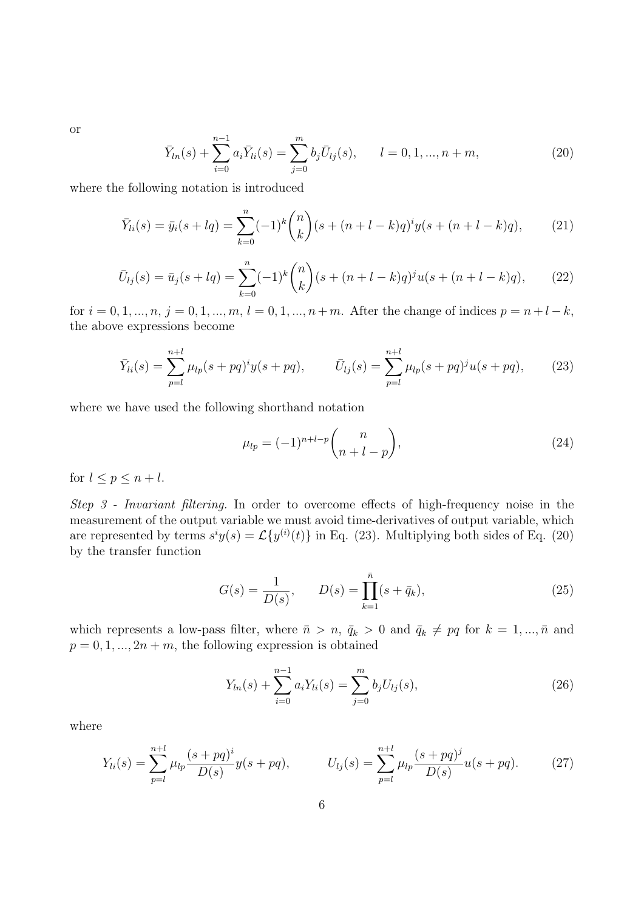or

$$
\bar{Y}_{ln}(s) + \sum_{i=0}^{n-1} a_i \bar{Y}_{li}(s) = \sum_{j=0}^{m} b_j \bar{U}_{lj}(s), \qquad l = 0, 1, ..., n+m,
$$
\n(20)

where the following notation is introduced

$$
\bar{Y}_{li}(s) = \bar{y}_i(s + lq) = \sum_{k=0}^n (-1)^k \binom{n}{k} (s + (n+l-k)q)^i y(s + (n+l-k)q), \tag{21}
$$

$$
\bar{U}_{lj}(s) = \bar{u}_j(s + lq) = \sum_{k=0}^{n} (-1)^k {n \choose k} (s + (n+l-k)q)^j u(s + (n+l-k)q), \qquad (22)
$$

for  $i = 0, 1, ..., n, j = 0, 1, ..., m, l = 0, 1, ..., n + m$ . After the change of indices  $p = n + l - k$ , the above expressions become

$$
\bar{Y}_{li}(s) = \sum_{p=l}^{n+l} \mu_{lp}(s + pq)^{i} y(s + pq), \qquad \bar{U}_{lj}(s) = \sum_{p=l}^{n+l} \mu_{lp}(s + pq)^{j} u(s + pq), \qquad (23)
$$

where we have used the following shorthand notation

$$
\mu_{lp} = (-1)^{n+l-p} \binom{n}{n+l-p},\tag{24}
$$

for  $l \leq p \leq n+l$ .

Step 3 - Invariant filtering. In order to overcome effects of high-frequency noise in the measurement of the output variable we must avoid time-derivatives of output variable, which are represented by terms  $s^i y(s) = \mathcal{L}{y^{(i)}(t)}$  in Eq. (23). Multiplying both sides of Eq. (20) by the transfer function

$$
G(s) = \frac{1}{D(s)}, \qquad D(s) = \prod_{k=1}^{\bar{n}} (s + \bar{q}_k), \tag{25}
$$

which represents a low-pass filter, where  $\bar{n} > n$ ,  $\bar{q}_k > 0$  and  $\bar{q}_k \neq pq$  for  $k = 1, ..., \bar{n}$  and  $p = 0, 1, ..., 2n + m$ , the following expression is obtained

$$
Y_{ln}(s) + \sum_{i=0}^{n-1} a_i Y_{li}(s) = \sum_{j=0}^{m} b_j U_{lj}(s),
$$
\n(26)

where

$$
Y_{li}(s) = \sum_{p=l}^{n+l} \mu_{lp} \frac{(s+pq)^i}{D(s)} y(s+pq), \qquad U_{lj}(s) = \sum_{p=l}^{n+l} \mu_{lp} \frac{(s+pq)^j}{D(s)} u(s+pq). \tag{27}
$$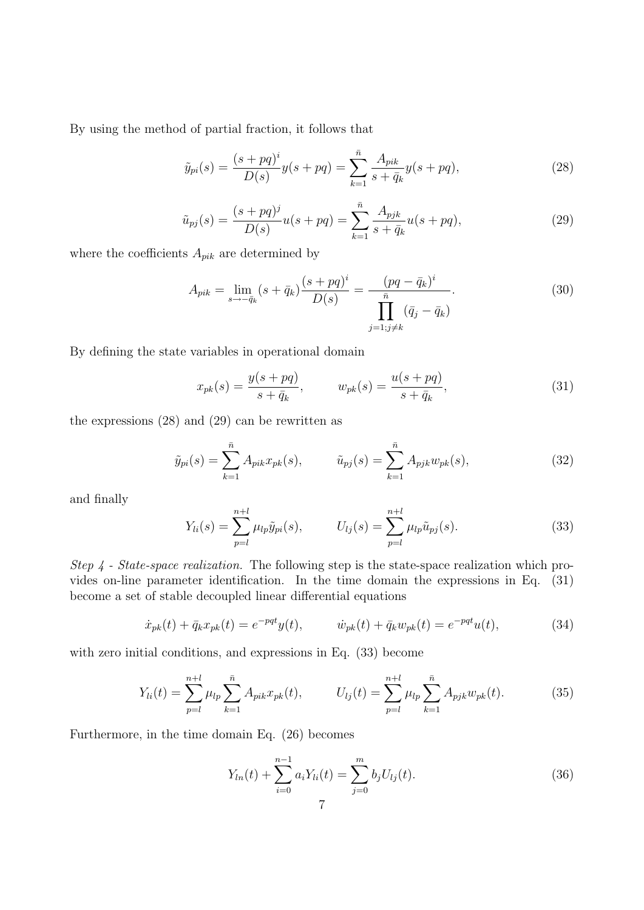By using the method of partial fraction, it follows that

$$
\tilde{y}_{pi}(s) = \frac{(s + pq)^i}{D(s)} y(s + pq) = \sum_{k=1}^{\bar{n}} \frac{A_{pik}}{s + \bar{q}_k} y(s + pq),\tag{28}
$$

$$
\tilde{u}_{pj}(s) = \frac{(s + pq)^j}{D(s)}u(s + pq) = \sum_{k=1}^{\bar{n}} \frac{A_{pjk}}{s + \bar{q}_k}u(s + pq),\tag{29}
$$

where the coefficients  $A_{pik}$  are determined by

$$
A_{pik} = \lim_{s \to -\bar{q}_k} (s + \bar{q}_k) \frac{(s + pq)^i}{D(s)} = \frac{(pq - \bar{q}_k)^i}{\prod_{j=1; j \neq k} (\bar{q}_j - \bar{q}_k)}.
$$
(30)

By defining the state variables in operational domain

$$
x_{pk}(s) = \frac{y(s + pq)}{s + \bar{q}_k}, \qquad w_{pk}(s) = \frac{u(s + pq)}{s + \bar{q}_k}, \tag{31}
$$

the expressions (28) and (29) can be rewritten as

$$
\tilde{y}_{pi}(s) = \sum_{k=1}^{\bar{n}} A_{pik} x_{pk}(s), \qquad \tilde{u}_{pj}(s) = \sum_{k=1}^{\bar{n}} A_{pjk} w_{pk}(s), \qquad (32)
$$

and finally

$$
Y_{li}(s) = \sum_{p=l}^{n+l} \mu_{lp} \tilde{y}_{pi}(s), \qquad U_{lj}(s) = \sum_{p=l}^{n+l} \mu_{lp} \tilde{u}_{pj}(s).
$$
 (33)

Step 4 - State-space realization. The following step is the state-space realization which provides on-line parameter identification. In the time domain the expressions in Eq. (31) become a set of stable decoupled linear differential equations

$$
\dot{x}_{pk}(t) + \bar{q}_k x_{pk}(t) = e^{-pqt} y(t), \qquad \dot{w}_{pk}(t) + \bar{q}_k w_{pk}(t) = e^{-pqt} u(t), \qquad (34)
$$

with zero initial conditions, and expressions in Eq. (33) become

$$
Y_{li}(t) = \sum_{p=l}^{n+l} \mu_{lp} \sum_{k=1}^{\bar{n}} A_{pik} x_{pk}(t), \qquad U_{lj}(t) = \sum_{p=l}^{n+l} \mu_{lp} \sum_{k=1}^{\bar{n}} A_{pjk} w_{pk}(t).
$$
 (35)

Furthermore, in the time domain Eq. (26) becomes

$$
Y_{ln}(t) + \sum_{i=0}^{n-1} a_i Y_{li}(t) = \sum_{j=0}^{m} b_j U_{lj}(t).
$$
 (36)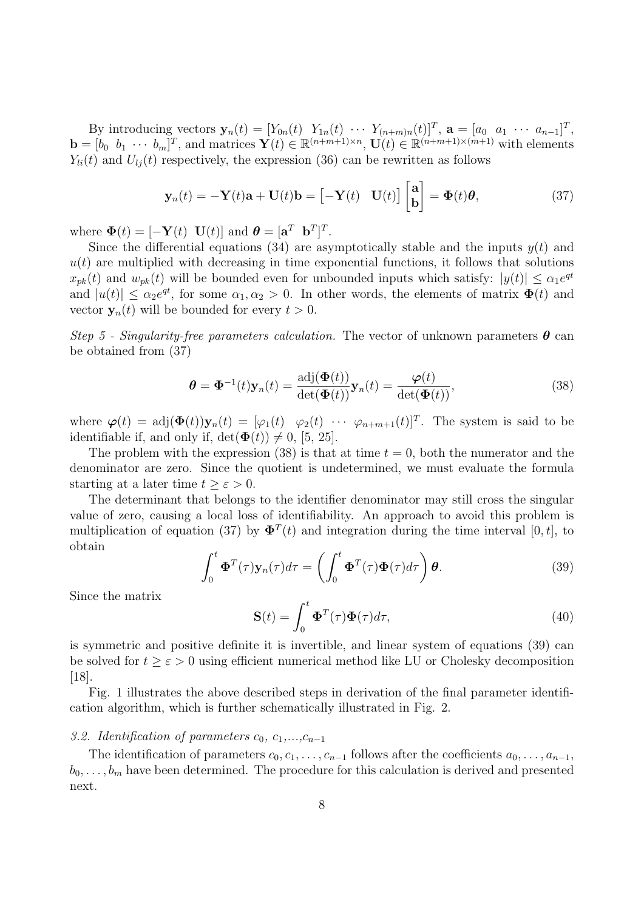By introducing vectors  $\mathbf{y}_n(t) = [Y_{0n}(t) \ Y_{1n}(t) \ \cdots \ Y_{(n+m)n}(t)]^T$ ,  $\mathbf{a} = [a_0 \ a_1 \ \cdots \ a_{n-1}]^T$ ,  $\mathbf{b} = \begin{bmatrix} b_0 & b_1 & \cdots & b_m \end{bmatrix}^T$ , and matrices  $\mathbf{Y}(t) \in \mathbb{R}^{(n+m+1)\times n}$ ,  $\mathbf{U}(t) \in \mathbb{R}^{(n+m+1)\times (m+1)}$  with elements  $Y_{li}(t)$  and  $U_{li}(t)$  respectively, the expression (36) can be rewritten as follows

$$
\mathbf{y}_n(t) = -\mathbf{Y}(t)\mathbf{a} + \mathbf{U}(t)\mathbf{b} = \begin{bmatrix} -\mathbf{Y}(t) & \mathbf{U}(t) \end{bmatrix} \begin{bmatrix} \mathbf{a} \\ \mathbf{b} \end{bmatrix} = \mathbf{\Phi}(t)\boldsymbol{\theta},
$$
(37)

where  $\mathbf{\Phi}(t) = [-\mathbf{Y}(t) \ \mathbf{U}(t)]$  and  $\mathbf{\theta} = [\mathbf{a}^T \ \mathbf{b}^T]^T$ .

Since the differential equations (34) are asymptotically stable and the inputs  $y(t)$  and  $u(t)$  are multiplied with decreasing in time exponential functions, it follows that solutions  $x_{pk}(t)$  and  $w_{pk}(t)$  will be bounded even for unbounded inputs which satisfy:  $|y(t)| \le \alpha_1 e^{qt}$ and  $|u(t)| \leq \alpha_2 e^{qt}$ , for some  $\alpha_1, \alpha_2 > 0$ . In other words, the elements of matrix  $\Phi(t)$  and vector  $y_n(t)$  will be bounded for every  $t > 0$ .

Step 5 - Singularity-free parameters calculation. The vector of unknown parameters  $\boldsymbol{\theta}$  can be obtained from (37)

$$
\boldsymbol{\theta} = \boldsymbol{\Phi}^{-1}(t)\mathbf{y}_n(t) = \frac{\text{adj}(\boldsymbol{\Phi}(t))}{\text{det}(\boldsymbol{\Phi}(t))}\mathbf{y}_n(t) = \frac{\boldsymbol{\varphi}(t)}{\text{det}(\boldsymbol{\Phi}(t))},
$$
(38)

where  $\boldsymbol{\varphi}(t) = \text{adj}(\boldsymbol{\Phi}(t))\mathbf{y}_n(t) = [\varphi_1(t) \quad \varphi_2(t) \quad \cdots \quad \varphi_{n+m+1}(t)]^T$ . The system is said to be identifiable if, and only if,  $\det(\mathbf{\Phi}(t)) \neq 0$ , [5, 25].

The problem with the expression (38) is that at time  $t = 0$ , both the numerator and the denominator are zero. Since the quotient is undetermined, we must evaluate the formula starting at a later time  $t \geq \varepsilon > 0$ .

The determinant that belongs to the identifier denominator may still cross the singular value of zero, causing a local loss of identifiability. An approach to avoid this problem is multiplication of equation (37) by  $\mathbf{\Phi}^T(t)$  and integration during the time interval [0, t], to obtain

$$
\int_0^t \mathbf{\Phi}^T(\tau) \mathbf{y}_n(\tau) d\tau = \left( \int_0^t \mathbf{\Phi}^T(\tau) \mathbf{\Phi}(\tau) d\tau \right) \boldsymbol{\theta}.
$$
 (39)

Since the matrix

$$
\mathbf{S}(t) = \int_0^t \mathbf{\Phi}^T(\tau) \mathbf{\Phi}(\tau) d\tau,\tag{40}
$$

is symmetric and positive definite it is invertible, and linear system of equations (39) can be solved for  $t \geq \varepsilon > 0$  using efficient numerical method like LU or Cholesky decomposition [18].

Fig. 1 illustrates the above described steps in derivation of the final parameter identification algorithm, which is further schematically illustrated in Fig. 2.

## 3.2. Identification of parameters  $c_0, c_1,...,c_{n-1}$

The identification of parameters  $c_0, c_1, \ldots, c_{n-1}$  follows after the coefficients  $a_0, \ldots, a_{n-1}$ ,  $b_0, \ldots, b_m$  have been determined. The procedure for this calculation is derived and presented next.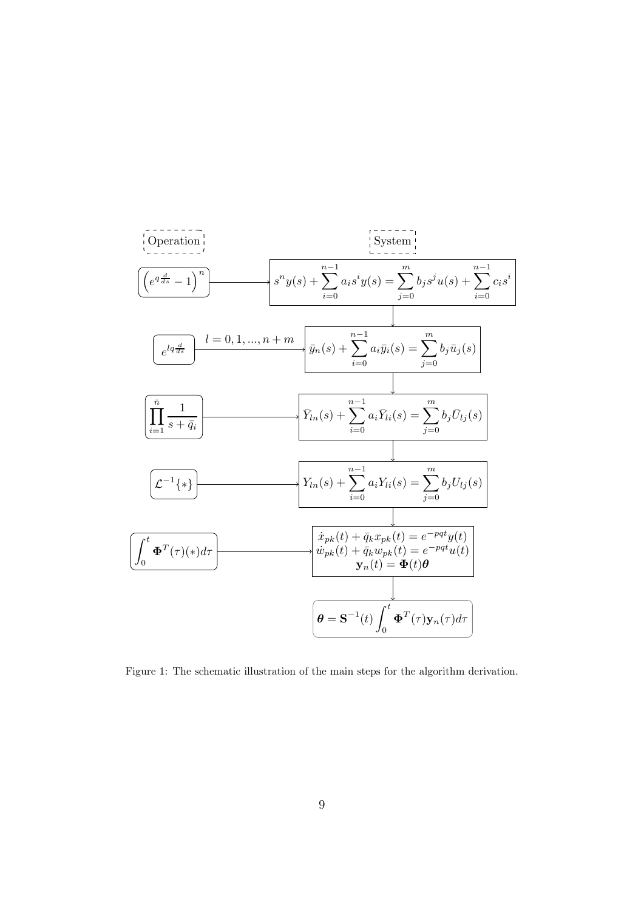

Figure 1: The schematic illustration of the main steps for the algorithm derivation.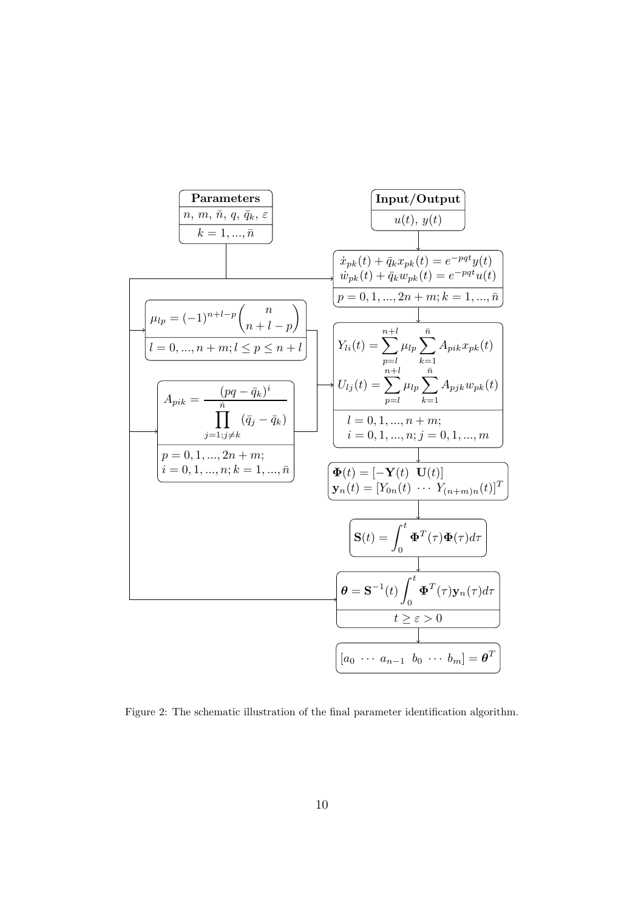

Figure 2: The schematic illustration of the final parameter identification algorithm.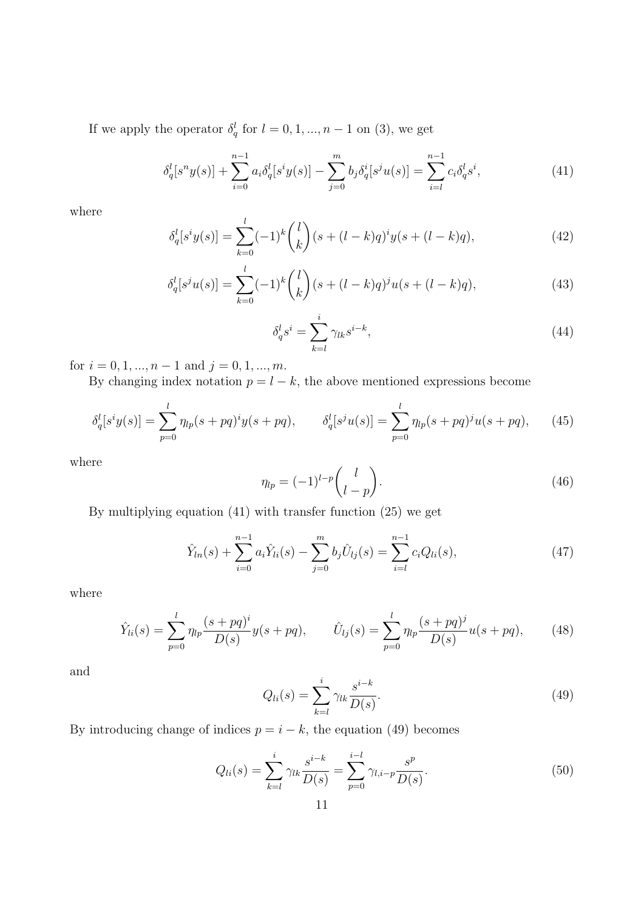If we apply the operator  $\delta_q^l$  for  $l = 0, 1, ..., n - 1$  on (3), we get

$$
\delta_q^l[s^n y(s)] + \sum_{i=0}^{n-1} a_i \delta_q^l[s^i y(s)] - \sum_{j=0}^m b_j \delta_q^i[s^j u(s)] = \sum_{i=l}^{n-1} c_i \delta_q^l s^i,
$$
\n(41)

where

$$
\delta_q^l[s^i y(s)] = \sum_{k=0}^l (-1)^k \binom{l}{k} (s + (l-k)q)^i y(s + (l-k)q),\tag{42}
$$

$$
\delta_q^l[s^j u(s)] = \sum_{k=0}^l (-1)^k \binom{l}{k} (s + (l-k)q)^j u(s + (l-k)q),\tag{43}
$$

$$
\delta_q^l s^i = \sum_{k=l}^i \gamma_{lk} s^{i-k},\tag{44}
$$

for  $i = 0, 1, ..., n - 1$  and  $j = 0, 1, ..., m$ .

By changing index notation  $p = l - k$ , the above mentioned expressions become

$$
\delta_q^l[s^i y(s)] = \sum_{p=0}^l \eta_{lp}(s + pq)^i y(s + pq), \qquad \delta_q^l[s^j u(s)] = \sum_{p=0}^l \eta_{lp}(s + pq)^j u(s + pq), \qquad (45)
$$

where

$$
\eta_{lp} = (-1)^{l-p} \binom{l}{l-p}.\tag{46}
$$

By multiplying equation (41) with transfer function (25) we get

$$
\hat{Y}_{ln}(s) + \sum_{i=0}^{n-1} a_i \hat{Y}_{li}(s) - \sum_{j=0}^{m} b_j \hat{U}_{lj}(s) = \sum_{i=l}^{n-1} c_i Q_{li}(s),
$$
\n(47)

where

$$
\hat{Y}_{li}(s) = \sum_{p=0}^{l} \eta_{lp} \frac{(s+pq)^i}{D(s)} y(s+pq), \qquad \hat{U}_{lj}(s) = \sum_{p=0}^{l} \eta_{lp} \frac{(s+pq)^j}{D(s)} u(s+pq), \qquad (48)
$$

and

$$
Q_{li}(s) = \sum_{k=l}^{i} \gamma_{lk} \frac{s^{i-k}}{D(s)}.
$$
\n
$$
(49)
$$

By introducing change of indices  $p = i - k$ , the equation (49) becomes

$$
Q_{li}(s) = \sum_{k=l}^{i} \gamma_{lk} \frac{s^{i-k}}{D(s)} = \sum_{p=0}^{i-l} \gamma_{l,i-p} \frac{s^p}{D(s)}.
$$
\n(50)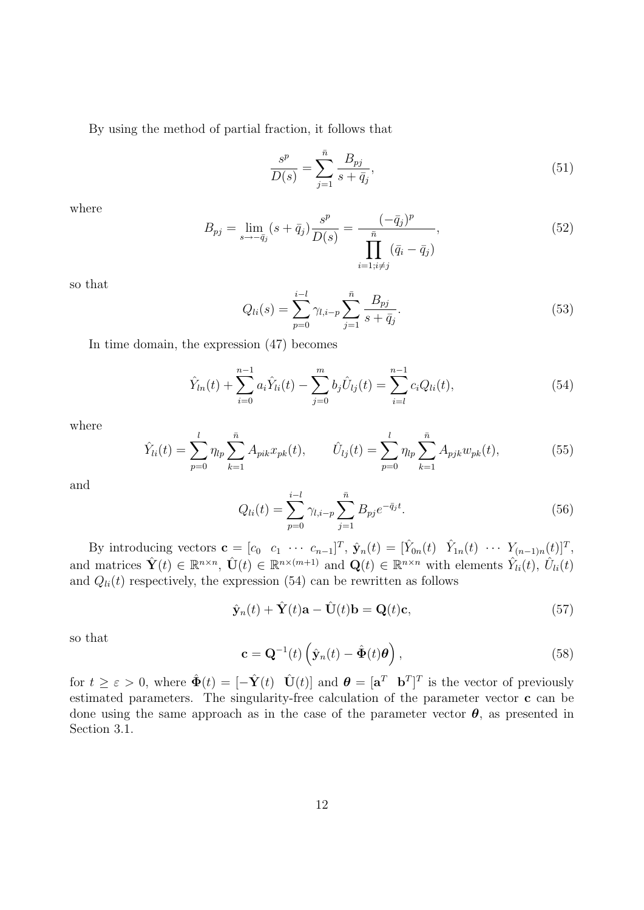By using the method of partial fraction, it follows that

$$
\frac{s^p}{D(s)} = \sum_{j=1}^{\bar{n}} \frac{B_{pj}}{s + \bar{q}_j},\tag{51}
$$

where

$$
B_{pj} = \lim_{s \to -\bar{q}_j} (s + \bar{q}_j) \frac{s^p}{D(s)} = \frac{(-\bar{q}_j)^p}{\prod_{i=1; i \neq j} (\bar{q}_i - \bar{q}_j)},\tag{52}
$$

so that

$$
Q_{li}(s) = \sum_{p=0}^{i-l} \gamma_{l,i-p} \sum_{j=1}^{\bar{n}} \frac{B_{pj}}{s + \bar{q}_j}.
$$
\n(53)

In time domain, the expression (47) becomes

$$
\hat{Y}_{ln}(t) + \sum_{i=0}^{n-1} a_i \hat{Y}_{li}(t) - \sum_{j=0}^{m} b_j \hat{U}_{lj}(t) = \sum_{i=l}^{n-1} c_i Q_{li}(t),
$$
\n(54)

where

$$
\hat{Y}_{li}(t) = \sum_{p=0}^{l} \eta_{lp} \sum_{k=1}^{\bar{n}} A_{pik} x_{pk}(t), \qquad \hat{U}_{lj}(t) = \sum_{p=0}^{l} \eta_{lp} \sum_{k=1}^{\bar{n}} A_{pjk} w_{pk}(t), \qquad (55)
$$

and

$$
Q_{li}(t) = \sum_{p=0}^{i-l} \gamma_{l,i-p} \sum_{j=1}^{\bar{n}} B_{pj} e^{-\bar{q}_j t}.
$$
 (56)

By introducing vectors  $\mathbf{c} = [c_0 \quad c_1 \quad \cdots \quad c_{n-1}]^T$ ,  $\hat{\mathbf{y}}_n(t) = [\hat{Y}_{0n}(t) \quad \hat{Y}_{1n}(t) \quad \cdots \quad \hat{Y}_{(n-1)n}(t)]^T$ , and matrices  $\hat{\mathbf{Y}}(t) \in \mathbb{R}^{n \times n}$ ,  $\hat{\mathbf{U}}(t) \in \mathbb{R}^{n \times (m+1)}$  and  $\mathbf{Q}(t) \in \mathbb{R}^{n \times n}$  with elements  $\hat{Y}_{li}(t)$ ,  $\hat{U}_{li}(t)$ and  $Q_{li}(t)$  respectively, the expression (54) can be rewritten as follows

$$
\hat{\mathbf{y}}_n(t) + \hat{\mathbf{Y}}(t)\mathbf{a} - \hat{\mathbf{U}}(t)\mathbf{b} = \mathbf{Q}(t)\mathbf{c},\tag{57}
$$

so that

$$
\mathbf{c} = \mathbf{Q}^{-1}(t) \left( \hat{\mathbf{y}}_n(t) - \hat{\mathbf{\Phi}}(t) \boldsymbol{\theta} \right), \tag{58}
$$

for  $t \geq \varepsilon > 0$ , where  $\hat{\Phi}(t) = [-\hat{\mathbf{Y}}(t) \quad \hat{\mathbf{U}}(t)]$  and  $\boldsymbol{\theta} = [\mathbf{a}^T \quad \mathbf{b}^T]^T$  is the vector of previously estimated parameters. The singularity-free calculation of the parameter vector c can be done using the same approach as in the case of the parameter vector  $\theta$ , as presented in Section 3.1.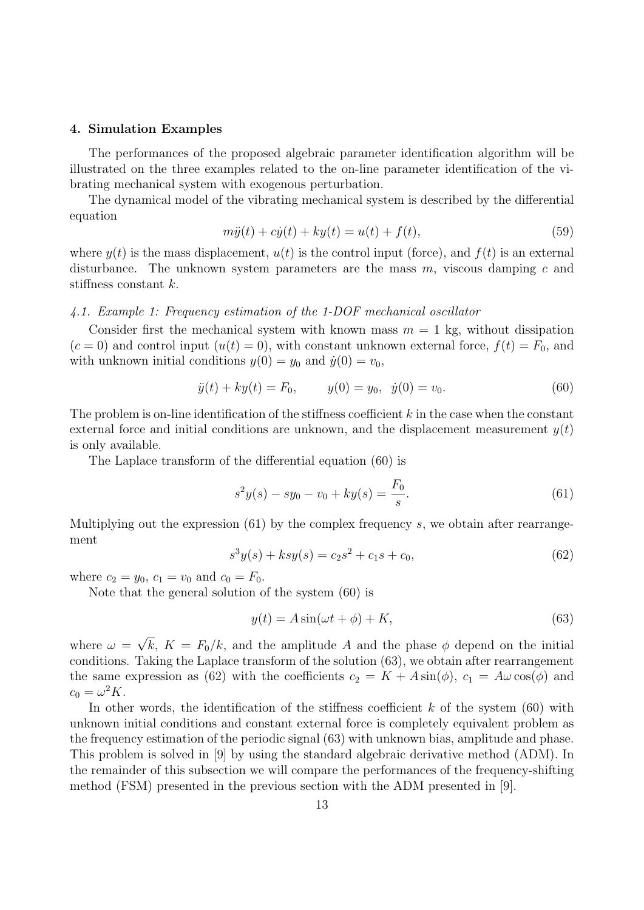#### 4. Simulation Examples

The performances of the proposed algebraic parameter identification algorithm will be illustrated on the three examples related to the on-line parameter identification of the vibrating mechanical system with exogenous perturbation.

The dynamical model of the vibrating mechanical system is described by the differential equation

$$
m\ddot{y}(t) + c\dot{y}(t) + ky(t) = u(t) + f(t),
$$
\n(59)

where  $y(t)$  is the mass displacement,  $u(t)$  is the control input (force), and  $f(t)$  is an external disturbance. The unknown system parameters are the mass  $m$ , viscous damping c and stiffness constant k.

#### 4.1. Example 1: Frequency estimation of the 1-DOF mechanical oscillator

Consider first the mechanical system with known mass  $m = 1$  kg, without dissipation  $(c = 0)$  and control input  $(u(t) = 0)$ , with constant unknown external force,  $f(t) = F_0$ , and with unknown initial conditions  $y(0) = y_0$  and  $\dot{y}(0) = v_0$ ,

$$
\ddot{y}(t) + ky(t) = F_0, \qquad y(0) = y_0, \ \dot{y}(0) = v_0. \tag{60}
$$

The problem is on-line identification of the stiffness coefficient  $k$  in the case when the constant external force and initial conditions are unknown, and the displacement measurement  $y(t)$ is only available.

The Laplace transform of the differential equation (60) is

$$
s^{2}y(s) - sy_{0} - v_{0} + ky(s) = \frac{F_{0}}{s}.
$$
\n(61)

Multiplying out the expression  $(61)$  by the complex frequency s, we obtain after rearrangement

$$
s^3y(s) + ksy(s) = c_2s^2 + c_1s + c_0,
$$
\n(62)

where  $c_2 = y_0$ ,  $c_1 = v_0$  and  $c_0 = F_0$ .

Note that the general solution of the system (60) is

$$
y(t) = A\sin(\omega t + \phi) + K,\tag{63}
$$

where  $\omega = \sqrt{k}$ ,  $K = F_0/k$ , and the amplitude A and the phase  $\phi$  depend on the initial conditions. Taking the Laplace transform of the solution (63), we obtain after rearrangement the same expression as (62) with the coefficients  $c_2 = K + A \sin(\phi)$ ,  $c_1 = A\omega \cos(\phi)$  and  $c_0 = \omega^2 K.$ 

In other words, the identification of the stiffness coefficient  $k$  of the system (60) with unknown initial conditions and constant external force is completely equivalent problem as the frequency estimation of the periodic signal (63) with unknown bias, amplitude and phase. This problem is solved in [9] by using the standard algebraic derivative method (ADM). In the remainder of this subsection we will compare the performances of the frequency-shifting method (FSM) presented in the previous section with the ADM presented in [9].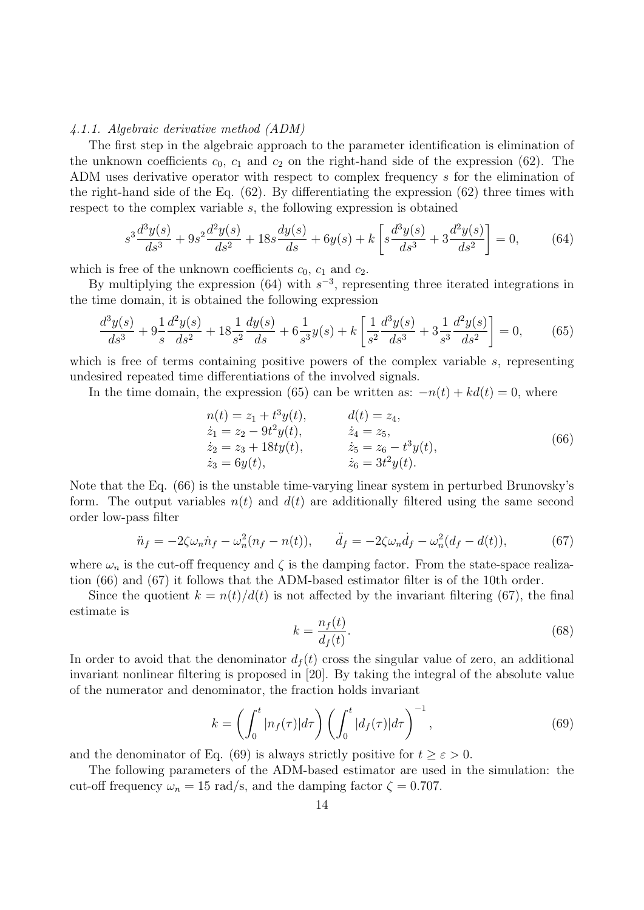#### 4.1.1. Algebraic derivative method (ADM)

The first step in the algebraic approach to the parameter identification is elimination of the unknown coefficients  $c_0$ ,  $c_1$  and  $c_2$  on the right-hand side of the expression (62). The ADM uses derivative operator with respect to complex frequency s for the elimination of the right-hand side of the Eq.  $(62)$ . By differentiating the expression  $(62)$  three times with respect to the complex variable s, the following expression is obtained

$$
s^3 \frac{d^3 y(s)}{ds^3} + 9s^2 \frac{d^2 y(s)}{ds^2} + 18s \frac{dy(s)}{ds} + 6y(s) + k \left[ s \frac{d^3 y(s)}{ds^3} + 3 \frac{d^2 y(s)}{ds^2} \right] = 0,\tag{64}
$$

which is free of the unknown coefficients  $c_0$ ,  $c_1$  and  $c_2$ .

By multiplying the expression  $(64)$  with  $s^{-3}$ , representing three iterated integrations in the time domain, it is obtained the following expression

$$
\frac{d^3y(s)}{ds^3} + 9\frac{1}{s}\frac{d^2y(s)}{ds^2} + 18\frac{1}{s^2}\frac{dy(s)}{ds} + 6\frac{1}{s^3}y(s) + k\left[\frac{1}{s^2}\frac{d^3y(s)}{ds^3} + 3\frac{1}{s^3}\frac{d^2y(s)}{ds^2}\right] = 0,\tag{65}
$$

which is free of terms containing positive powers of the complex variable s, representing undesired repeated time differentiations of the involved signals.

In the time domain, the expression (65) can be written as:  $-n(t) + kd(t) = 0$ , where

$$
n(t) = z1 + t3y(t), d(t) = z4,\n\dot{z}1 = z2 - 9t2y(t), \n\dot{z}4 = z5,\n\dot{z}2 = z3 + 18ty(t), \n\dot{z}5 = z6 - t3y(t),\n\dot{z}3 = 6y(t), \n\dot{z}6 = 3t2y(t).
$$
\n(66)

Note that the Eq. (66) is the unstable time-varying linear system in perturbed Brunovsky's form. The output variables  $n(t)$  and  $d(t)$  are additionally filtered using the same second order low-pass filter

$$
\ddot{n}_f = -2\zeta\omega_n \dot{n}_f - \omega_n^2 (n_f - n(t)), \quad \ddot{d}_f = -2\zeta\omega_n \dot{d}_f - \omega_n^2 (d_f - d(t)), \tag{67}
$$

where  $\omega_n$  is the cut-off frequency and  $\zeta$  is the damping factor. From the state-space realization (66) and (67) it follows that the ADM-based estimator filter is of the 10th order.

Since the quotient  $k = n(t)/d(t)$  is not affected by the invariant filtering (67), the final estimate is

$$
k = \frac{n_f(t)}{d_f(t)}.\tag{68}
$$

In order to avoid that the denominator  $d_f(t)$  cross the singular value of zero, an additional invariant nonlinear filtering is proposed in [20]. By taking the integral of the absolute value of the numerator and denominator, the fraction holds invariant

$$
k = \left(\int_0^t |n_f(\tau)|d\tau\right) \left(\int_0^t |d_f(\tau)|d\tau\right)^{-1},\tag{69}
$$

and the denominator of Eq. (69) is always strictly positive for  $t \geq \varepsilon > 0$ .

The following parameters of the ADM-based estimator are used in the simulation: the cut-off frequency  $\omega_n = 15 \text{ rad/s}$ , and the damping factor  $\zeta = 0.707$ .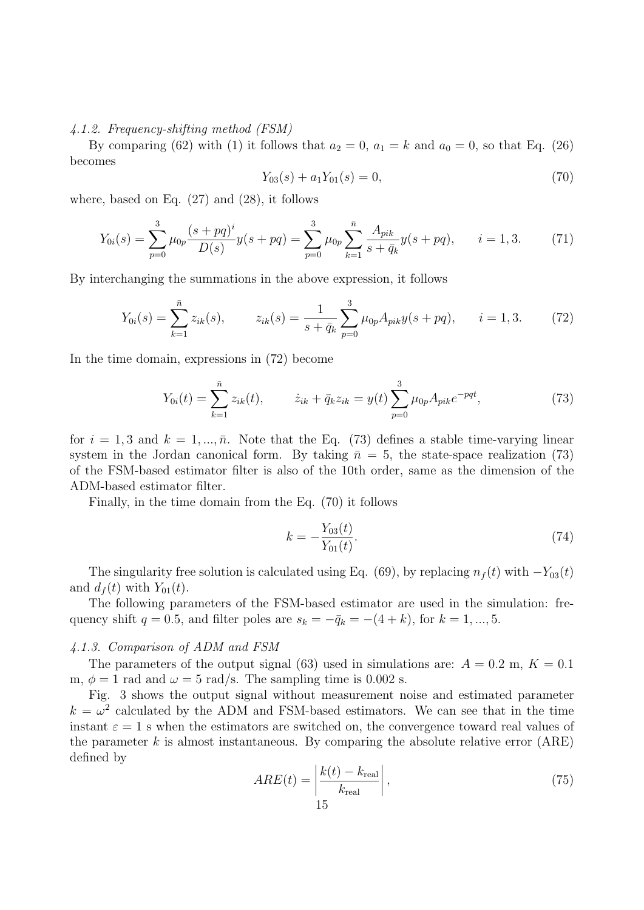## 4.1.2. Frequency-shifting method (FSM)

By comparing (62) with (1) it follows that  $a_2 = 0$ ,  $a_1 = k$  and  $a_0 = 0$ , so that Eq. (26) becomes

$$
Y_{03}(s) + a_1 Y_{01}(s) = 0,\t\t(70)
$$

where, based on Eq. (27) and (28), it follows

$$
Y_{0i}(s) = \sum_{p=0}^{3} \mu_{0p} \frac{(s+pq)^i}{D(s)} y(s+pq) = \sum_{p=0}^{3} \mu_{0p} \sum_{k=1}^{\bar{n}} \frac{A_{pik}}{s+\bar{q}_k} y(s+pq), \qquad i=1,3. \tag{71}
$$

By interchanging the summations in the above expression, it follows

$$
Y_{0i}(s) = \sum_{k=1}^{\bar{n}} z_{ik}(s), \qquad z_{ik}(s) = \frac{1}{s + \bar{q}_k} \sum_{p=0}^{3} \mu_{0p} A_{pik} y(s + pq), \qquad i = 1, 3. \tag{72}
$$

In the time domain, expressions in (72) become

$$
Y_{0i}(t) = \sum_{k=1}^{\bar{n}} z_{ik}(t), \qquad \dot{z}_{ik} + \bar{q}_k z_{ik} = y(t) \sum_{p=0}^{3} \mu_{0p} A_{pike} e^{-pqt}, \tag{73}
$$

for  $i = 1, 3$  and  $k = 1, \ldots, \bar{n}$ . Note that the Eq. (73) defines a stable time-varying linear system in the Jordan canonical form. By taking  $\bar{n} = 5$ , the state-space realization (73) of the FSM-based estimator filter is also of the 10th order, same as the dimension of the ADM-based estimator filter.

Finally, in the time domain from the Eq. (70) it follows

$$
k = -\frac{Y_{03}(t)}{Y_{01}(t)}.\t(74)
$$

The singularity free solution is calculated using Eq. (69), by replacing  $n_f(t)$  with  $-Y_{03}(t)$ and  $d_f(t)$  with  $Y_{01}(t)$ .

The following parameters of the FSM-based estimator are used in the simulation: frequency shift  $q = 0.5$ , and filter poles are  $s_k = -\bar{q}_k = -(4 + k)$ , for  $k = 1, ..., 5$ .

#### 4.1.3. Comparison of ADM and FSM

The parameters of the output signal (63) used in simulations are:  $A = 0.2$  m,  $K = 0.1$ m,  $\phi = 1$  rad and  $\omega = 5$  rad/s. The sampling time is 0.002 s.

Fig. 3 shows the output signal without measurement noise and estimated parameter  $k = \omega^2$  calculated by the ADM and FSM-based estimators. We can see that in the time instant  $\varepsilon = 1$  s when the estimators are switched on, the convergence toward real values of the parameter  $k$  is almost instantaneous. By comparing the absolute relative error  $(ARE)$ defined by

$$
ARE(t) = \left| \frac{k(t) - k_{\text{real}}}{k_{\text{real}}} \right|,\tag{75}
$$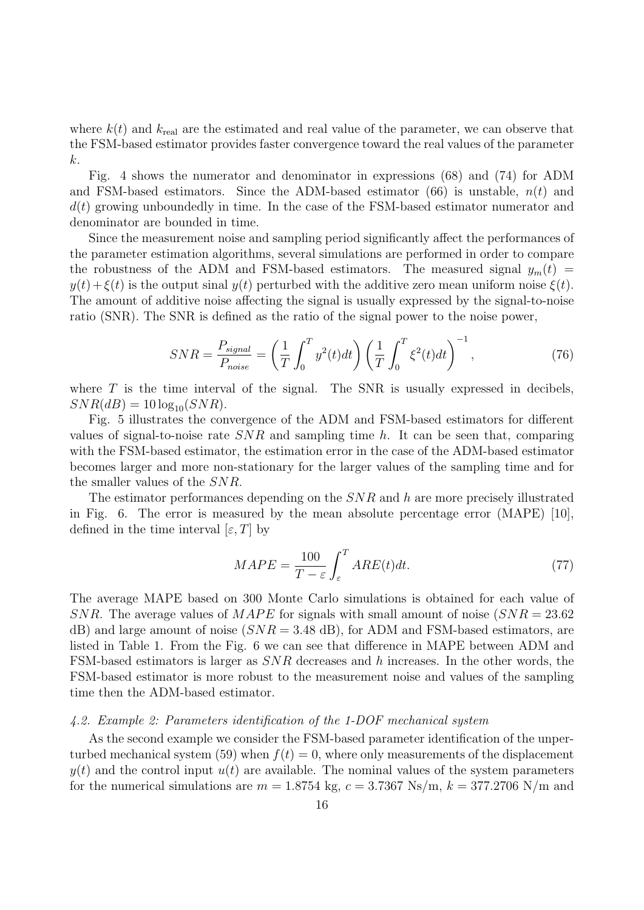where  $k(t)$  and  $k_{\text{real}}$  are the estimated and real value of the parameter, we can observe that the FSM-based estimator provides faster convergence toward the real values of the parameter k.

Fig. 4 shows the numerator and denominator in expressions (68) and (74) for ADM and FSM-based estimators. Since the ADM-based estimator  $(66)$  is unstable,  $n(t)$  and  $d(t)$  growing unboundedly in time. In the case of the FSM-based estimator numerator and denominator are bounded in time.

Since the measurement noise and sampling period significantly affect the performances of the parameter estimation algorithms, several simulations are performed in order to compare the robustness of the ADM and FSM-based estimators. The measured signal  $y_m(t)$  =  $y(t) + \xi(t)$  is the output sinal  $y(t)$  perturbed with the additive zero mean uniform noise  $\xi(t)$ . The amount of additive noise affecting the signal is usually expressed by the signal-to-noise ratio (SNR). The SNR is defined as the ratio of the signal power to the noise power,

$$
SNR = \frac{P_{signal}}{P_{noise}} = \left(\frac{1}{T} \int_0^T y^2(t)dt\right) \left(\frac{1}{T} \int_0^T \xi^2(t)dt\right)^{-1},\tag{76}
$$

where  $T$  is the time interval of the signal. The SNR is usually expressed in decibels,  $SNR(dB) = 10 \log_{10}(SNR)$ .

Fig. 5 illustrates the convergence of the ADM and FSM-based estimators for different values of signal-to-noise rate  $SNR$  and sampling time h. It can be seen that, comparing with the FSM-based estimator, the estimation error in the case of the ADM-based estimator becomes larger and more non-stationary for the larger values of the sampling time and for the smaller values of the SNR.

The estimator performances depending on the SNR and h are more precisely illustrated in Fig. 6. The error is measured by the mean absolute percentage error (MAPE) [10], defined in the time interval  $[\varepsilon, T]$  by

$$
MAPE = \frac{100}{T - \varepsilon} \int_{\varepsilon}^{T} ARE(t)dt.
$$
 (77)

The average MAPE based on 300 Monte Carlo simulations is obtained for each value of SNR. The average values of MAPE for signals with small amount of noise  $(SNR = 23.62$  $dB$ ) and large amount of noise  $(SNR = 3.48$  dB), for ADM and FSM-based estimators, are listed in Table 1. From the Fig. 6 we can see that difference in MAPE between ADM and FSM-based estimators is larger as SNR decreases and h increases. In the other words, the FSM-based estimator is more robust to the measurement noise and values of the sampling time then the ADM-based estimator.

#### 4.2. Example 2: Parameters identification of the 1-DOF mechanical system

As the second example we consider the FSM-based parameter identification of the unperturbed mechanical system (59) when  $f(t) = 0$ , where only measurements of the displacement  $y(t)$  and the control input  $u(t)$  are available. The nominal values of the system parameters for the numerical simulations are  $m = 1.8754$  kg,  $c = 3.7367$  Ns/m,  $k = 377.2706$  N/m and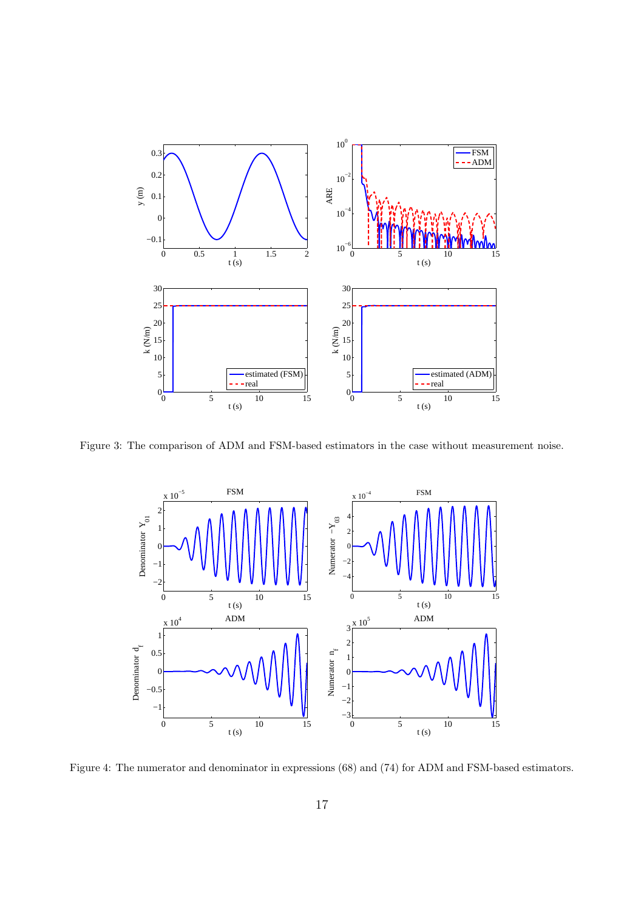

Figure 3: The comparison of ADM and FSM-based estimators in the case without measurement noise.



Figure 4: The numerator and denominator in expressions (68) and (74) for ADM and FSM-based estimators.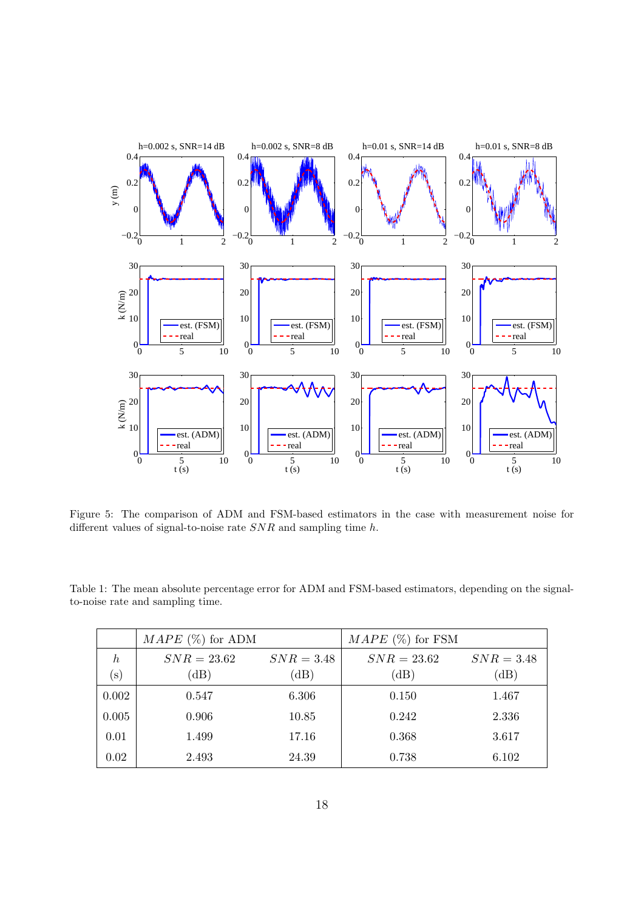

Figure 5: The comparison of ADM and FSM-based estimators in the case with measurement noise for different values of signal-to-noise rate  $SNR$  and sampling time h.

|                      | $MAPE$ (%) for ADM    |                      | $MAPE$ (%) for FSM    |                      |
|----------------------|-----------------------|----------------------|-----------------------|----------------------|
| $\hbar$<br>$(\rm s)$ | $SNR = 23.62$<br>(dB) | $SNR = 3.48$<br>(dB) | $SNR = 23.62$<br>(dB) | $SNR = 3.48$<br>(dB) |
| 0.002                | 0.547                 | 6.306                | 0.150                 | 1.467                |
| 0.005                | 0.906                 | 10.85                | 0.242                 | 2.336                |
| 0.01                 | 1.499                 | 17.16                | 0.368                 | 3.617                |
| 0.02                 | 2.493                 | 24.39                | 0.738                 | 6.102                |

Table 1: The mean absolute percentage error for ADM and FSM-based estimators, depending on the signalto-noise rate and sampling time.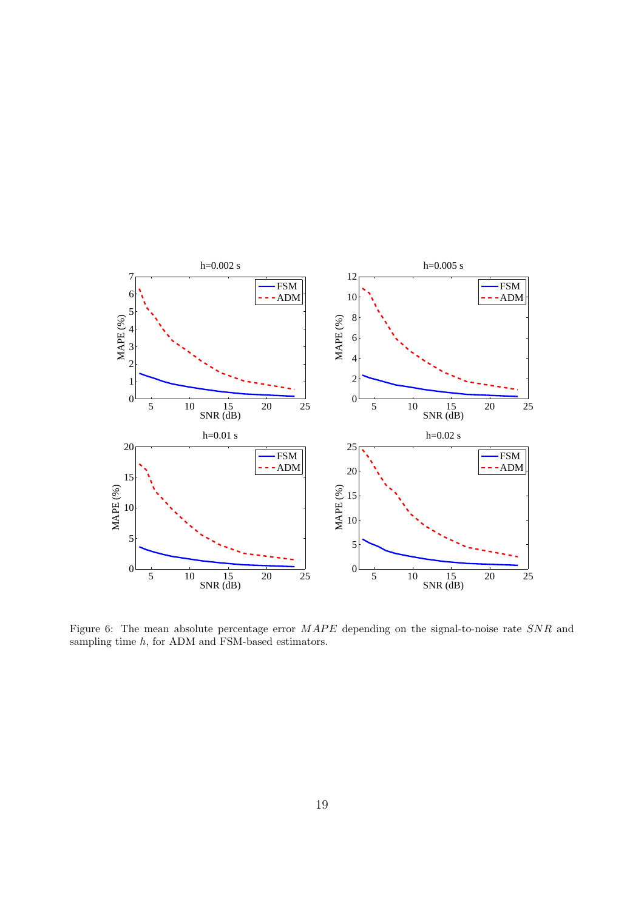

Figure 6: The mean absolute percentage error  $MAPE$  depending on the signal-to-noise rate  $SNR$  and sampling time  $h$ , for ADM and FSM-based estimators.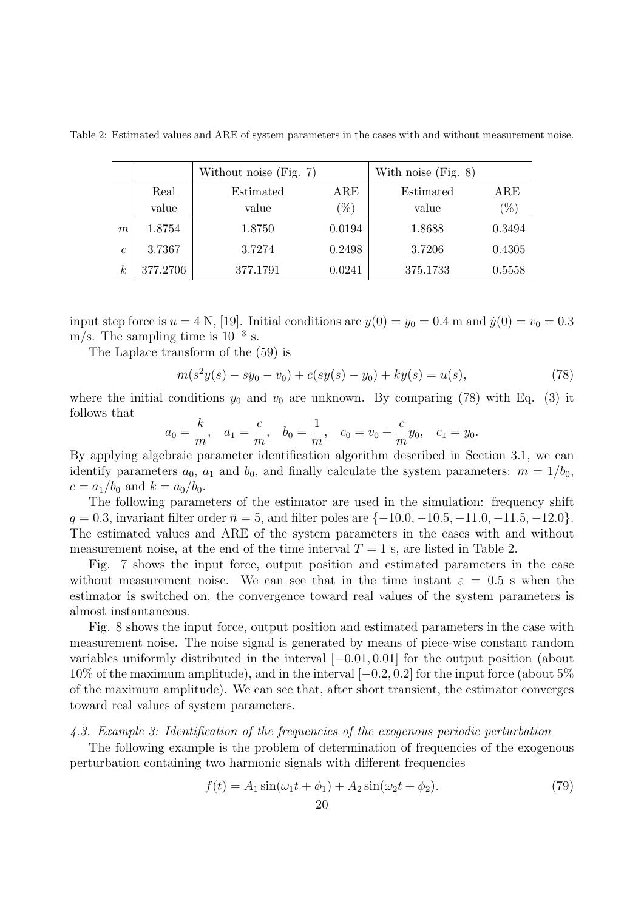|                  |          | Without noise $(Fig. 7)$ |              | With noise $(Fig. 8)$ |              |
|------------------|----------|--------------------------|--------------|-----------------------|--------------|
|                  | Real     | Estimated                | $_{\rm ARE}$ | Estimated             | $_{\rm ARE}$ |
|                  | value    | value                    | $(\%)$       | value                 | $(\%)$       |
| $\boldsymbol{m}$ | 1.8754   | 1.8750                   | 0.0194       | 1.8688                | 0.3494       |
| $\epsilon$       | 3.7367   | 3.7274                   | 0.2498       | 3.7206                | 0.4305       |
| $\it{k}$         | 377.2706 | 377.1791                 | 0.0241       | 375.1733              | 0.5558       |

Table 2: Estimated values and ARE of system parameters in the cases with and without measurement noise.

input step force is  $u = 4$  N, [19]. Initial conditions are  $y(0) = y_0 = 0.4$  m and  $\dot{y}(0) = v_0 = 0.3$ m/s. The sampling time is  $10^{-3}$  s.

The Laplace transform of the (59) is

$$
m(s2y(s) - sy0 - v0) + c(sy(s) - y0) + ky(s) = u(s),
$$
\n(78)

where the initial conditions  $y_0$  and  $v_0$  are unknown. By comparing (78) with Eq. (3) it follows that

$$
a_0 = \frac{k}{m}
$$
,  $a_1 = \frac{c}{m}$ ,  $b_0 = \frac{1}{m}$ ,  $c_0 = v_0 + \frac{c}{m}y_0$ ,  $c_1 = y_0$ .

By applying algebraic parameter identification algorithm described in Section 3.1, we can identify parameters  $a_0$ ,  $a_1$  and  $b_0$ , and finally calculate the system parameters:  $m = 1/b_0$ ,  $c = a_1/b_0$  and  $k = a_0/b_0$ .

The following parameters of the estimator are used in the simulation: frequency shift  $q = 0.3$ , invariant filter order  $\bar{n} = 5$ , and filter poles are  $\{-10.0, -10.5, -11.0, -11.5, -12.0\}$ . The estimated values and ARE of the system parameters in the cases with and without measurement noise, at the end of the time interval  $T = 1$  s, are listed in Table 2.

Fig. 7 shows the input force, output position and estimated parameters in the case without measurement noise. We can see that in the time instant  $\varepsilon = 0.5$  s when the estimator is switched on, the convergence toward real values of the system parameters is almost instantaneous.

Fig. 8 shows the input force, output position and estimated parameters in the case with measurement noise. The noise signal is generated by means of piece-wise constant random variables uniformly distributed in the interval [−0.01, 0.01] for the output position (about 10% of the maximum amplitude), and in the interval [−0.2, 0.2] for the input force (about 5% of the maximum amplitude). We can see that, after short transient, the estimator converges toward real values of system parameters.

#### 4.3. Example 3: Identification of the frequencies of the exogenous periodic perturbation

The following example is the problem of determination of frequencies of the exogenous perturbation containing two harmonic signals with different frequencies

$$
f(t) = A_1 \sin(\omega_1 t + \phi_1) + A_2 \sin(\omega_2 t + \phi_2).
$$
 (79)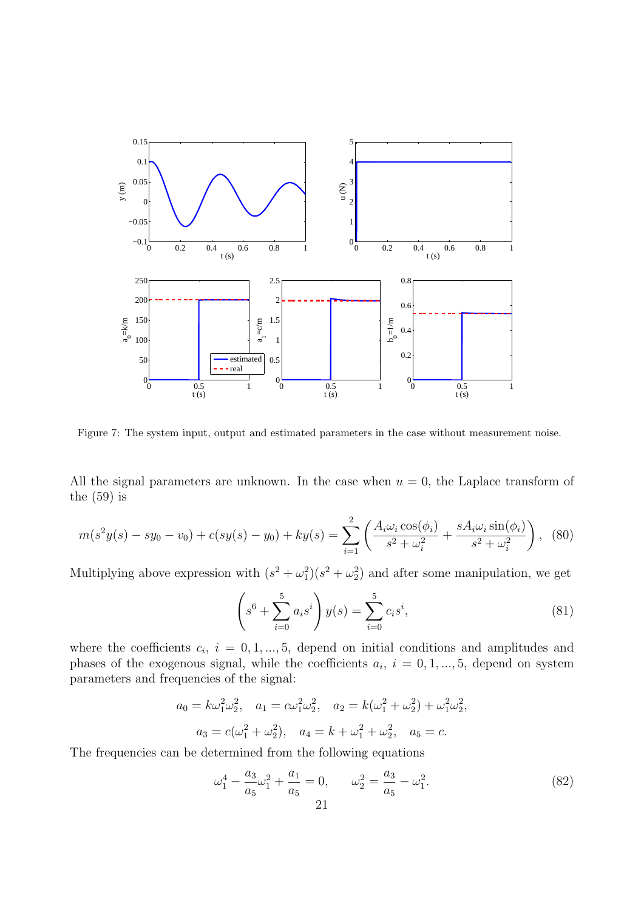

Figure 7: The system input, output and estimated parameters in the case without measurement noise.

All the signal parameters are unknown. In the case when  $u = 0$ , the Laplace transform of the (59) is

$$
m(s^2y(s) - sy_0 - v_0) + c(sy(s) - y_0) + ky(s) = \sum_{i=1}^2 \left( \frac{A_i \omega_i \cos(\phi_i)}{s^2 + \omega_i^2} + \frac{sA_i \omega_i \sin(\phi_i)}{s^2 + \omega_i^2} \right), \tag{80}
$$

Multiplying above expression with  $(s^2 + \omega_1^2)(s^2 + \omega_2^2)$  and after some manipulation, we get

$$
\left(s^6 + \sum_{i=0}^5 a_i s^i\right) y(s) = \sum_{i=0}^5 c_i s^i,
$$
\n(81)

where the coefficients  $c_i$ ,  $i = 0, 1, ..., 5$ , depend on initial conditions and amplitudes and phases of the exogenous signal, while the coefficients  $a_i$ ,  $i = 0, 1, ..., 5$ , depend on system parameters and frequencies of the signal:

$$
a_0 = k\omega_1^2\omega_2^2, \quad a_1 = c\omega_1^2\omega_2^2, \quad a_2 = k(\omega_1^2 + \omega_2^2) + \omega_1^2\omega_2^2,
$$
  

$$
a_3 = c(\omega_1^2 + \omega_2^2), \quad a_4 = k + \omega_1^2 + \omega_2^2, \quad a_5 = c.
$$

The frequencies can be determined from the following equations

$$
\omega_1^4 - \frac{a_3}{a_5}\omega_1^2 + \frac{a_1}{a_5} = 0, \qquad \omega_2^2 = \frac{a_3}{a_5} - \omega_1^2. \tag{82}
$$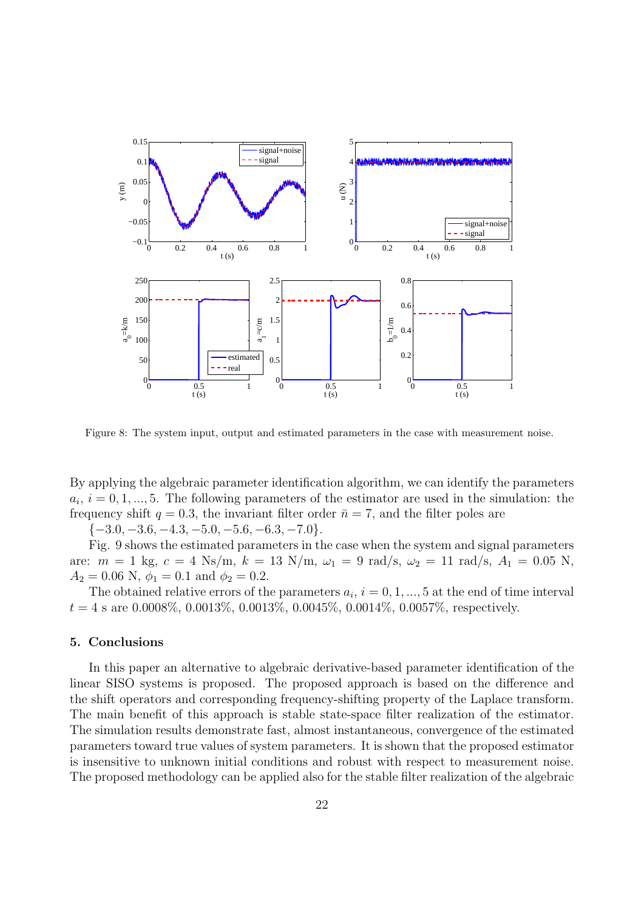

Figure 8: The system input, output and estimated parameters in the case with measurement noise.

By applying the algebraic parameter identification algorithm, we can identify the parameters  $a_i, i = 0, 1, ..., 5$ . The following parameters of the estimator are used in the simulation: the frequency shift  $q = 0.3$ , the invariant filter order  $\bar{n} = 7$ , and the filter poles are

 $\{-3.0, -3.6, -4.3, -5.0, -5.6, -6.3, -7.0\}.$ 

Fig. 9 shows the estimated parameters in the case when the system and signal parameters are:  $m = 1$  kg,  $c = 4$  Ns/m,  $k = 13$  N/m,  $\omega_1 = 9$  rad/s,  $\omega_2 = 11$  rad/s,  $A_1 = 0.05$  N,  $A_2 = 0.06$  N,  $\phi_1 = 0.1$  and  $\phi_2 = 0.2$ .

The obtained relative errors of the parameters  $a_i$ ,  $i = 0, 1, ..., 5$  at the end of time interval  $t = 4$  s are 0.0008%, 0.0013%, 0.0013%, 0.0045%, 0.0014%, 0.0057%, respectively.

## 5. Conclusions

In this paper an alternative to algebraic derivative-based parameter identification of the linear SISO systems is proposed. The proposed approach is based on the difference and the shift operators and corresponding frequency-shifting property of the Laplace transform. The main benefit of this approach is stable state-space filter realization of the estimator. The simulation results demonstrate fast, almost instantaneous, convergence of the estimated parameters toward true values of system parameters. It is shown that the proposed estimator is insensitive to unknown initial conditions and robust with respect to measurement noise. The proposed methodology can be applied also for the stable filter realization of the algebraic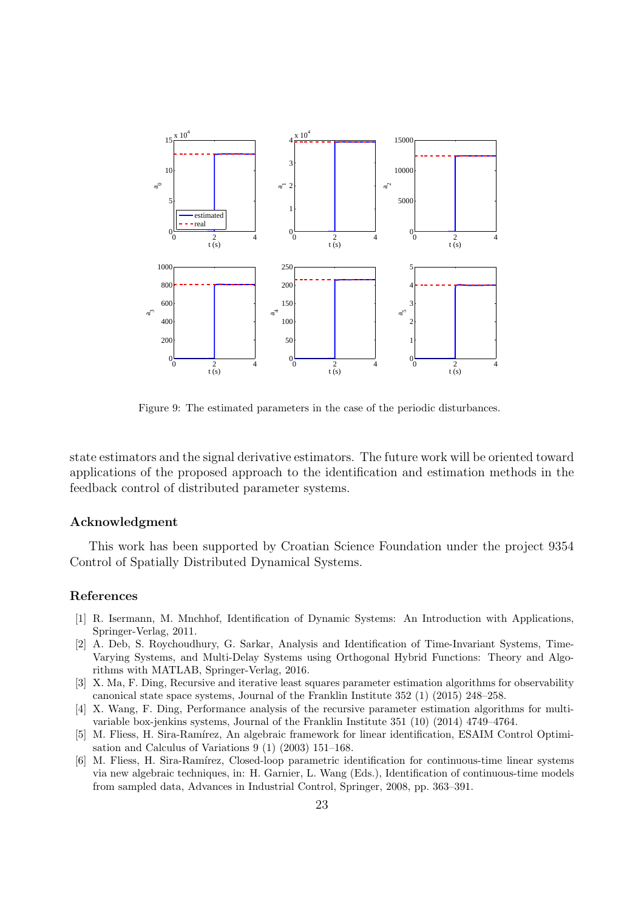

Figure 9: The estimated parameters in the case of the periodic disturbances.

state estimators and the signal derivative estimators. The future work will be oriented toward applications of the proposed approach to the identification and estimation methods in the feedback control of distributed parameter systems.

## Acknowledgment

This work has been supported by Croatian Science Foundation under the project 9354 Control of Spatially Distributed Dynamical Systems.

# References

- [1] R. Isermann, M. Mnchhof, Identification of Dynamic Systems: An Introduction with Applications, Springer-Verlag, 2011.
- [2] A. Deb, S. Roychoudhury, G. Sarkar, Analysis and Identification of Time-Invariant Systems, Time-Varying Systems, and Multi-Delay Systems using Orthogonal Hybrid Functions: Theory and Algorithms with MATLAB, Springer-Verlag, 2016.
- [3] X. Ma, F. Ding, Recursive and iterative least squares parameter estimation algorithms for observability canonical state space systems, Journal of the Franklin Institute 352 (1) (2015) 248–258.
- [4] X. Wang, F. Ding, Performance analysis of the recursive parameter estimation algorithms for multivariable box-jenkins systems, Journal of the Franklin Institute 351 (10) (2014) 4749–4764.
- [5] M. Fliess, H. Sira-Ramírez, An algebraic framework for linear identification, ESAIM Control Optimisation and Calculus of Variations 9 (1) (2003) 151–168.
- [6] M. Fliess, H. Sira-Ramírez, Closed-loop parametric identification for continuous-time linear systems via new algebraic techniques, in: H. Garnier, L. Wang (Eds.), Identification of continuous-time models from sampled data, Advances in Industrial Control, Springer, 2008, pp. 363–391.